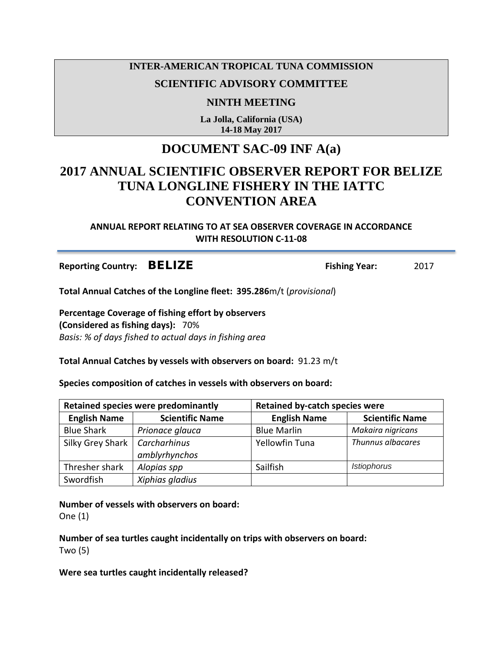## **INTER-AMERICAN TROPICAL TUNA COMMISSION**

## **SCIENTIFIC ADVISORY COMMITTEE**

**NINTH MEETING**

**La Jolla, California (USA) 14-18 May 2017**

## **DOCUMENT SAC-09 INF A(a)**

# **2017 ANNUAL SCIENTIFIC OBSERVER REPORT FOR BELIZE TUNA LONGLINE FISHERY IN THE IATTC CONVENTION AREA**

### **ANNUAL REPORT RELATING TO AT SEA OBSERVER COVERAGE IN ACCORDANCE WITH RESOLUTION C-11-08**

**Reporting Country:** BELIZE **Fishing Year:** 2017

**Total Annual Catches of the Longline fleet: 395.286**m/t (*provisional*)

**Percentage Coverage of fishing effort by observers (Considered as fishing days):** 70% *Basis: % of days fished to actual days in fishing area*

**Total Annual Catches by vessels with observers on board:** 91.23 m/t

**Species composition of catches in vessels with observers on board:**

| <b>Retained species were predominantly</b> |                        | <b>Retained by-catch species were</b> |                        |
|--------------------------------------------|------------------------|---------------------------------------|------------------------|
| <b>English Name</b>                        | <b>Scientific Name</b> | <b>English Name</b>                   | <b>Scientific Name</b> |
| <b>Blue Shark</b>                          | Prionace glauca        | <b>Blue Marlin</b>                    | Makaira nigricans      |
| Silky Grey Shark                           | Carcharhinus           | <b>Yellowfin Tuna</b>                 | Thunnus albacares      |
|                                            | amblyrhynchos          |                                       |                        |
| Thresher shark                             | Alopias spp            | Sailfish                              | <b>Istiophorus</b>     |
| Swordfish                                  | Xiphias gladius        |                                       |                        |

**Number of vessels with observers on board:** 

One (1)

**Number of sea turtles caught incidentally on trips with observers on board:** Two (5)

#### **Were sea turtles caught incidentally released?**